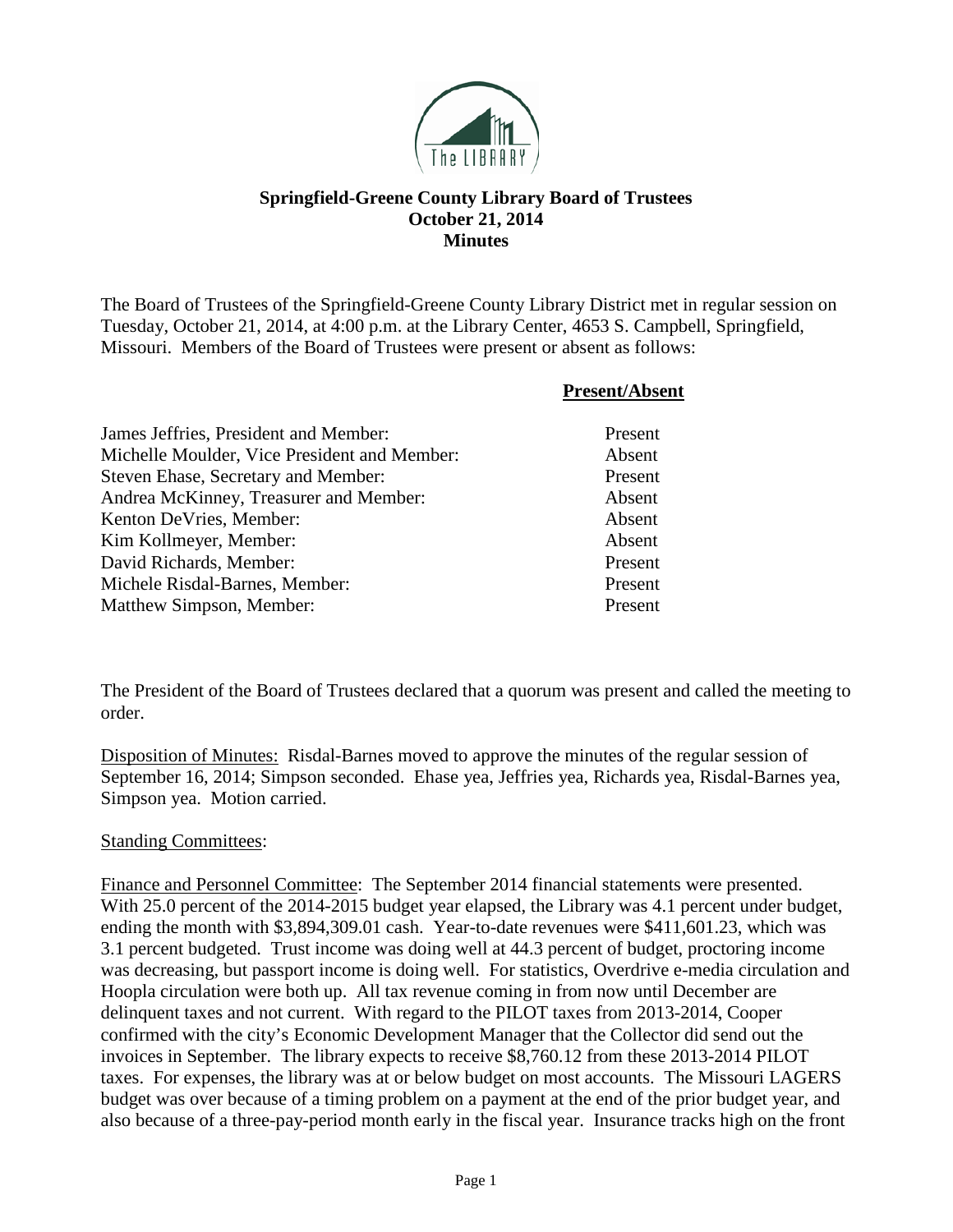

## **Springfield-Greene County Library Board of Trustees October 21, 2014 Minutes**

The Board of Trustees of the Springfield-Greene County Library District met in regular session on Tuesday, October 21, 2014, at 4:00 p.m. at the Library Center, 4653 S. Campbell, Springfield, Missouri. Members of the Board of Trustees were present or absent as follows:

|                                              | <b>Present/Absent</b> |
|----------------------------------------------|-----------------------|
| James Jeffries, President and Member:        | Present               |
| Michelle Moulder, Vice President and Member: | Absent                |
| Steven Ehase, Secretary and Member:          | Present               |
| Andrea McKinney, Treasurer and Member:       | Absent                |
| Kenton DeVries, Member:                      | Absent                |
| Kim Kollmeyer, Member:                       | Absent                |
| David Richards, Member:                      | Present               |
| Michele Risdal-Barnes, Member:               | Present               |
| Matthew Simpson, Member:                     | Present               |

The President of the Board of Trustees declared that a quorum was present and called the meeting to order.

Disposition of Minutes: Risdal-Barnes moved to approve the minutes of the regular session of September 16, 2014; Simpson seconded. Ehase yea, Jeffries yea, Richards yea, Risdal-Barnes yea, Simpson yea. Motion carried.

## Standing Committees:

Finance and Personnel Committee: The September 2014 financial statements were presented. With 25.0 percent of the 2014-2015 budget year elapsed, the Library was 4.1 percent under budget, ending the month with \$3,894,309.01 cash. Year-to-date revenues were \$411,601.23, which was 3.1 percent budgeted. Trust income was doing well at 44.3 percent of budget, proctoring income was decreasing, but passport income is doing well. For statistics, Overdrive e-media circulation and Hoopla circulation were both up. All tax revenue coming in from now until December are delinquent taxes and not current. With regard to the PILOT taxes from 2013-2014, Cooper confirmed with the city's Economic Development Manager that the Collector did send out the invoices in September. The library expects to receive \$8,760.12 from these 2013-2014 PILOT taxes. For expenses, the library was at or below budget on most accounts. The Missouri LAGERS budget was over because of a timing problem on a payment at the end of the prior budget year, and also because of a three-pay-period month early in the fiscal year. Insurance tracks high on the front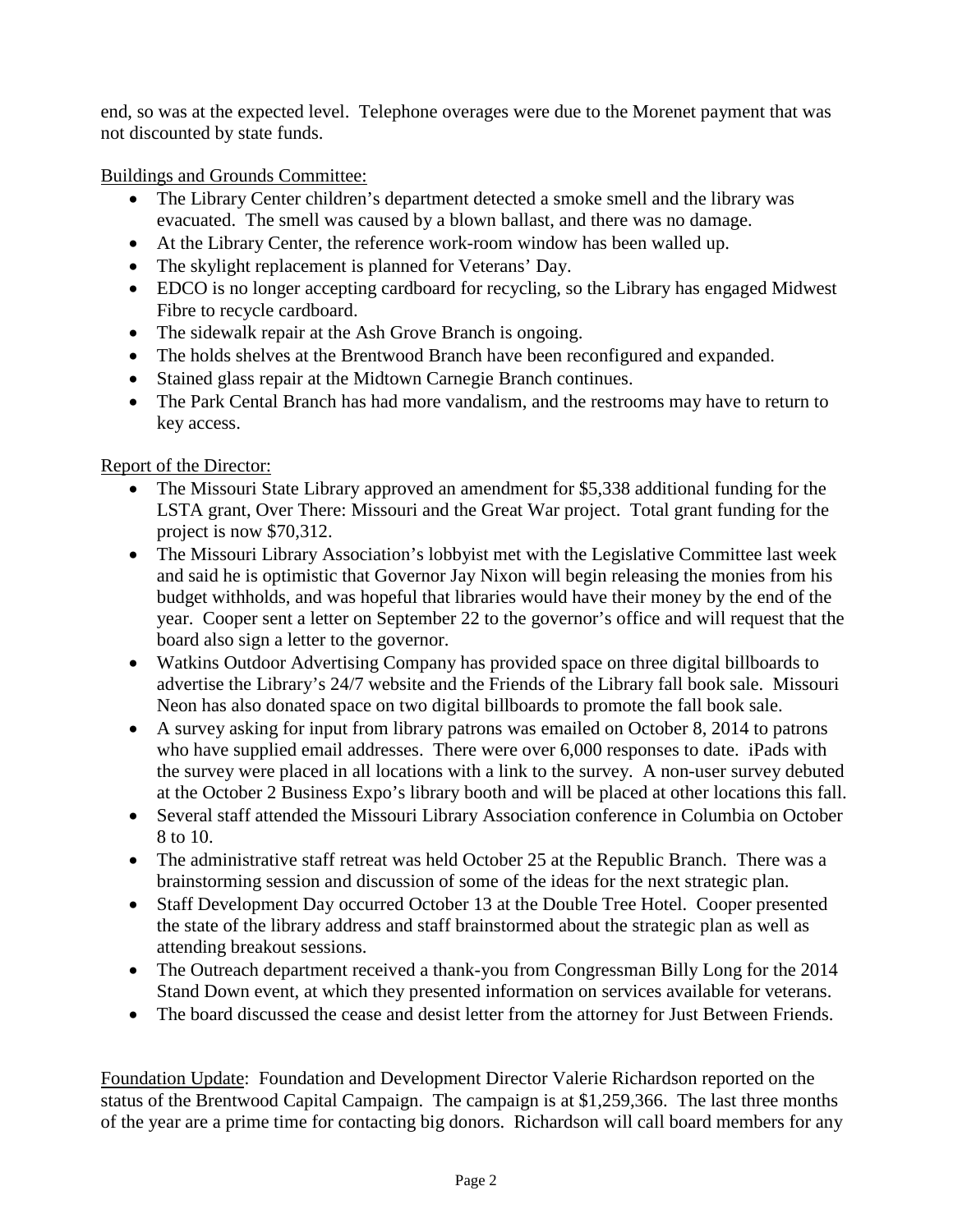end, so was at the expected level. Telephone overages were due to the Morenet payment that was not discounted by state funds.

Buildings and Grounds Committee:

- The Library Center children's department detected a smoke smell and the library was evacuated. The smell was caused by a blown ballast, and there was no damage.
- At the Library Center, the reference work-room window has been walled up.
- The skylight replacement is planned for Veterans' Day.
- EDCO is no longer accepting cardboard for recycling, so the Library has engaged Midwest Fibre to recycle cardboard.
- The sidewalk repair at the Ash Grove Branch is ongoing.
- The holds shelves at the Brentwood Branch have been reconfigured and expanded.
- Stained glass repair at the Midtown Carnegie Branch continues.
- The Park Cental Branch has had more vandalism, and the restrooms may have to return to key access.

Report of the Director:

- The Missouri State Library approved an amendment for \$5,338 additional funding for the LSTA grant, Over There: Missouri and the Great War project. Total grant funding for the project is now \$70,312.
- The Missouri Library Association's lobbyist met with the Legislative Committee last week and said he is optimistic that Governor Jay Nixon will begin releasing the monies from his budget withholds, and was hopeful that libraries would have their money by the end of the year. Cooper sent a letter on September 22 to the governor's office and will request that the board also sign a letter to the governor.
- Watkins Outdoor Advertising Company has provided space on three digital billboards to advertise the Library's 24/7 website and the Friends of the Library fall book sale. Missouri Neon has also donated space on two digital billboards to promote the fall book sale.
- A survey asking for input from library patrons was emailed on October 8, 2014 to patrons who have supplied email addresses. There were over 6,000 responses to date. iPads with the survey were placed in all locations with a link to the survey. A non-user survey debuted at the October 2 Business Expo's library booth and will be placed at other locations this fall.
- Several staff attended the Missouri Library Association conference in Columbia on October 8 to 10.
- The administrative staff retreat was held October 25 at the Republic Branch. There was a brainstorming session and discussion of some of the ideas for the next strategic plan.
- Staff Development Day occurred October 13 at the Double Tree Hotel. Cooper presented the state of the library address and staff brainstormed about the strategic plan as well as attending breakout sessions.
- The Outreach department received a thank-you from Congressman Billy Long for the 2014 Stand Down event, at which they presented information on services available for veterans.
- The board discussed the cease and desist letter from the attorney for Just Between Friends.

Foundation Update: Foundation and Development Director Valerie Richardson reported on the status of the Brentwood Capital Campaign. The campaign is at \$1,259,366. The last three months of the year are a prime time for contacting big donors. Richardson will call board members for any